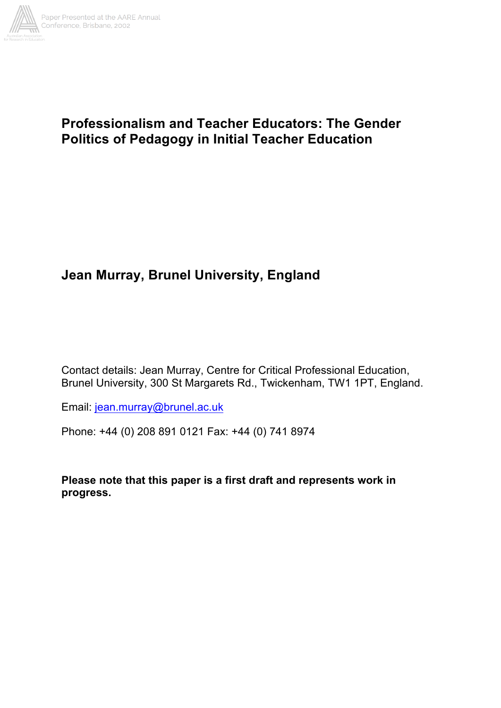

## **Professionalism and Teacher Educators: The Gender Politics of Pedagogy in Initial Teacher Education**

# **Jean Murray, Brunel University, England**

Contact details: Jean Murray, Centre for Critical Professional Education, Brunel University, 300 St Margarets Rd., Twickenham, TW1 1PT, England.

Email: jean.murray@brunel.ac.uk

Phone: +44 (0) 208 891 0121 Fax: +44 (0) 741 8974

**Please note that this paper is a first draft and represents work in progress.**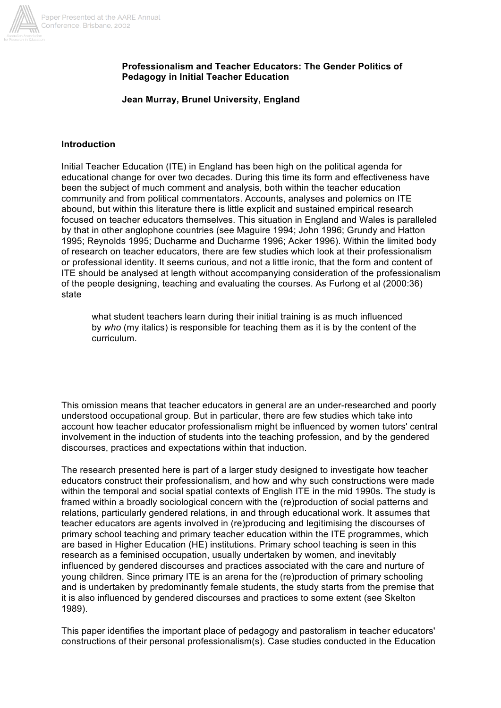

## **Professionalism and Teacher Educators: The Gender Politics of Pedagogy in Initial Teacher Education**

#### **Jean Murray, Brunel University, England**

#### **Introduction**

Initial Teacher Education (ITE) in England has been high on the political agenda for educational change for over two decades. During this time its form and effectiveness have been the subject of much comment and analysis, both within the teacher education community and from political commentators. Accounts, analyses and polemics on ITE abound, but within this literature there is little explicit and sustained empirical research focused on teacher educators themselves. This situation in England and Wales is paralleled by that in other anglophone countries (see Maguire 1994; John 1996; Grundy and Hatton 1995; Reynolds 1995; Ducharme and Ducharme 1996; Acker 1996). Within the limited body of research on teacher educators, there are few studies which look at their professionalism or professional identity. It seems curious, and not a little ironic, that the form and content of ITE should be analysed at length without accompanying consideration of the professionalism of the people designing, teaching and evaluating the courses. As Furlong et al (2000:36) state

what student teachers learn during their initial training is as much influenced by *who* (my italics) is responsible for teaching them as it is by the content of the curriculum.

This omission means that teacher educators in general are an under-researched and poorly understood occupational group. But in particular, there are few studies which take into account how teacher educator professionalism might be influenced by women tutors' central involvement in the induction of students into the teaching profession, and by the gendered discourses, practices and expectations within that induction.

The research presented here is part of a larger study designed to investigate how teacher educators construct their professionalism, and how and why such constructions were made within the temporal and social spatial contexts of English ITE in the mid 1990s. The study is framed within a broadly sociological concern with the (re)production of social patterns and relations, particularly gendered relations, in and through educational work. It assumes that teacher educators are agents involved in (re)producing and legitimising the discourses of primary school teaching and primary teacher education within the ITE programmes, which are based in Higher Education (HE) institutions. Primary school teaching is seen in this research as a feminised occupation, usually undertaken by women, and inevitably influenced by gendered discourses and practices associated with the care and nurture of young children. Since primary ITE is an arena for the (re)production of primary schooling and is undertaken by predominantly female students, the study starts from the premise that it is also influenced by gendered discourses and practices to some extent (see Skelton 1989).

This paper identifies the important place of pedagogy and pastoralism in teacher educators' constructions of their personal professionalism(s). Case studies conducted in the Education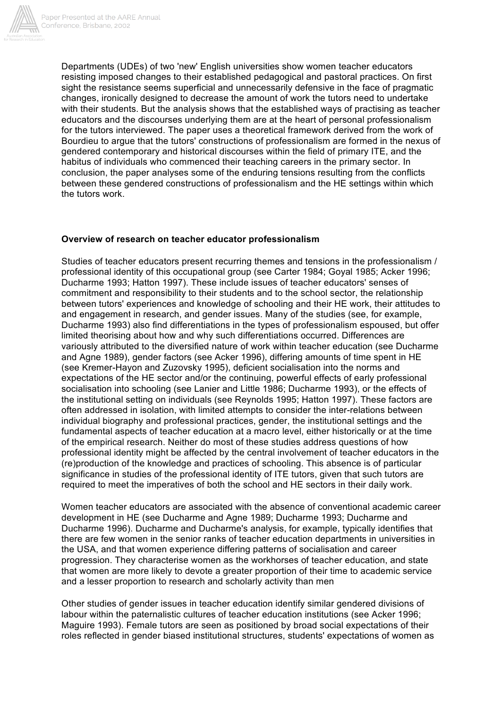

Departments (UDEs) of two 'new' English universities show women teacher educators resisting imposed changes to their established pedagogical and pastoral practices. On first sight the resistance seems superficial and unnecessarily defensive in the face of pragmatic changes, ironically designed to decrease the amount of work the tutors need to undertake with their students. But the analysis shows that the established ways of practising as teacher educators and the discourses underlying them are at the heart of personal professionalism for the tutors interviewed. The paper uses a theoretical framework derived from the work of Bourdieu to argue that the tutors' constructions of professionalism are formed in the nexus of gendered contemporary and historical discourses within the field of primary ITE, and the habitus of individuals who commenced their teaching careers in the primary sector. In conclusion, the paper analyses some of the enduring tensions resulting from the conflicts between these gendered constructions of professionalism and the HE settings within which the tutors work.

## **Overview of research on teacher educator professionalism**

Studies of teacher educators present recurring themes and tensions in the professionalism / professional identity of this occupational group (see Carter 1984; Goyal 1985; Acker 1996; Ducharme 1993; Hatton 1997). These include issues of teacher educators' senses of commitment and responsibility to their students and to the school sector, the relationship between tutors' experiences and knowledge of schooling and their HE work, their attitudes to and engagement in research, and gender issues. Many of the studies (see, for example, Ducharme 1993) also find differentiations in the types of professionalism espoused, but offer limited theorising about how and why such differentiations occurred. Differences are variously attributed to the diversified nature of work within teacher education (see Ducharme and Agne 1989), gender factors (see Acker 1996), differing amounts of time spent in HE (see Kremer-Hayon and Zuzovsky 1995), deficient socialisation into the norms and expectations of the HE sector and/or the continuing, powerful effects of early professional socialisation into schooling (see Lanier and Little 1986; Ducharme 1993), or the effects of the institutional setting on individuals (see Reynolds 1995; Hatton 1997). These factors are often addressed in isolation, with limited attempts to consider the inter-relations between individual biography and professional practices, gender, the institutional settings and the fundamental aspects of teacher education at a macro level, either historically or at the time of the empirical research. Neither do most of these studies address questions of how professional identity might be affected by the central involvement of teacher educators in the (re)production of the knowledge and practices of schooling. This absence is of particular significance in studies of the professional identity of ITE tutors, given that such tutors are required to meet the imperatives of both the school and HE sectors in their daily work.

Women teacher educators are associated with the absence of conventional academic career development in HE (see Ducharme and Agne 1989; Ducharme 1993; Ducharme and Ducharme 1996). Ducharme and Ducharme's analysis, for example, typically identifies that there are few women in the senior ranks of teacher education departments in universities in the USA, and that women experience differing patterns of socialisation and career progression. They characterise women as the workhorses of teacher education, and state that women are more likely to devote a greater proportion of their time to academic service and a lesser proportion to research and scholarly activity than men

Other studies of gender issues in teacher education identify similar gendered divisions of labour within the paternalistic cultures of teacher education institutions (see Acker 1996; Maguire 1993). Female tutors are seen as positioned by broad social expectations of their roles reflected in gender biased institutional structures, students' expectations of women as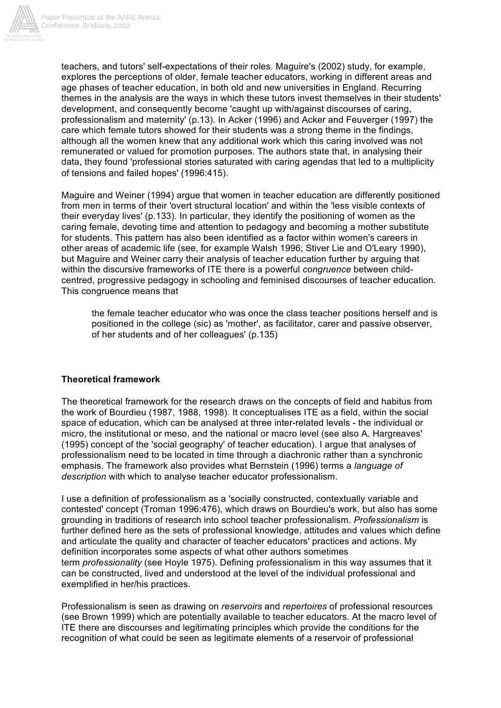

teachers, and tutors' self-expectations of their roles. Maguire's (2002) study, for example, explores the perceptions of older, female teacher educators, working in different areas and age phases of teacher education, in both old and new universities in England. Recurring themes in the analysis are the ways in which these tutors invest themselves in their students' development, and consequently become 'caught up with/against discourses of caring, professionalism and maternity' (p.13). In Acker (1996) and Acker and Feuverger (1997) the care which female tutors showed for their students was a strong theme in the findings, although all the women knew that any additional work which this caring involved was not remunerated or valued for promotion purposes. The authors state that, in analysing their data, they found 'professional stories saturated with caring agendas that led to a multiplicity of tensions and failed hopes' (1996:415).

Maguire and Weiner (1994) argue that women in teacher education are differently positioned from men in terms of their 'overt structural location' and within the 'less visible contexts of their everyday lives' (p.133). In particular, they identify the positioning of women as the caring female, devoting time and attention to pedagogy and becoming a mother substitute for students. This pattern has also been identified as a factor within women's careers in other areas of academic life (see, for example Walsh 1996; Stiver Lie and O'Leary 1990), but Maguire and Weiner carry their analysis of teacher education further by arguing that within the discursive frameworks of ITE there is a powerful *congruence* between childcentred, progressive pedagogy in schooling and feminised discourses of teacher education. This congruence means that

the female teacher educator who was once the class teacher positions herself and is positioned in the college (sic) as 'mother', as facilitator, carer and passive observer, of her students and of her colleagues' (p.135)

## **Theoretical framework**

The theoretical framework for the research draws on the concepts of field and habitus from the work of Bourdieu (1987, 1988, 1998). It conceptualises ITE as a field, within the social space of education, which can be analysed at three inter-related levels - the individual or micro, the institutional or meso, and the national or macro level (see also A. Hargreaves' (1995) concept of the 'social geography' of teacher education). I argue that analyses of professionalism need to be located in time through a diachronic rather than a synchronic emphasis. The framework also provides what Bernstein (1996) terms a *language of description* with which to analyse teacher educator professionalism.

I use a definition of professionalism as a 'socially constructed, contextually variable and contested' concept (Troman 1996:476), which draws on Bourdieu's work, but also has some grounding in traditions of research into school teacher professionalism. *Professionalism* is further defined here as the sets of professional knowledge, attitudes and values which define and articulate the quality and character of teacher educators' practices and actions. My definition incorporates some aspects of what other authors sometimes term *professionality* (see Hoyle 1975). Defining professionalism in this way assumes that it can be constructed, lived and understood at the level of the individual professional and exemplified in her/his practices.

Professionalism is seen as drawing on *reservoirs* and *repertoires* of professional resources (see Brown 1999) which are potentially available to teacher educators. At the macro level of ITE there are discourses and legitimating principles which provide the conditions for the recognition of what could be seen as legitimate elements of a reservoir of professional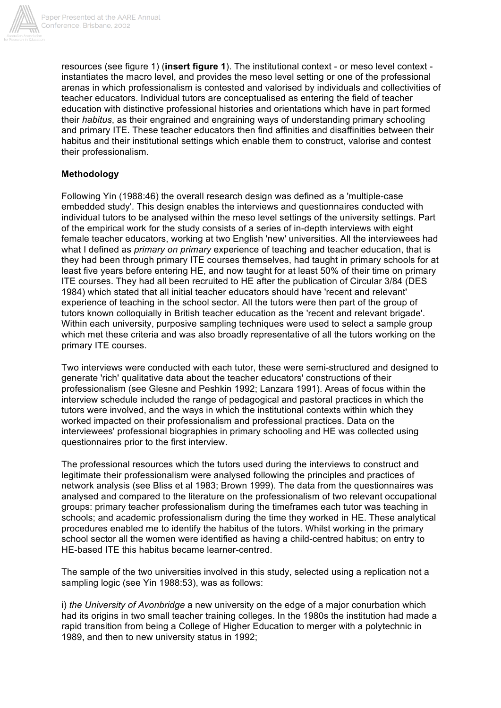

resources (see figure 1) (**insert figure 1**). The institutional context - or meso level context instantiates the macro level, and provides the meso level setting or one of the professional arenas in which professionalism is contested and valorised by individuals and collectivities of teacher educators. Individual tutors are conceptualised as entering the field of teacher education with distinctive professional histories and orientations which have in part formed their *habitus*, as their engrained and engraining ways of understanding primary schooling and primary ITE. These teacher educators then find affinities and disaffinities between their habitus and their institutional settings which enable them to construct, valorise and contest their professionalism.

## **Methodology**

Following Yin (1988:46) the overall research design was defined as a 'multiple-case embedded study'. This design enables the interviews and questionnaires conducted with individual tutors to be analysed within the meso level settings of the university settings. Part of the empirical work for the study consists of a series of in-depth interviews with eight female teacher educators, working at two English 'new' universities. All the interviewees had what I defined as *primary on primary* experience of teaching and teacher education, that is they had been through primary ITE courses themselves, had taught in primary schools for at least five years before entering HE, and now taught for at least 50% of their time on primary ITE courses. They had all been recruited to HE after the publication of Circular 3/84 (DES 1984) which stated that all initial teacher educators should have 'recent and relevant' experience of teaching in the school sector. All the tutors were then part of the group of tutors known colloquially in British teacher education as the 'recent and relevant brigade'. Within each university, purposive sampling techniques were used to select a sample group which met these criteria and was also broadly representative of all the tutors working on the primary ITE courses.

Two interviews were conducted with each tutor, these were semi-structured and designed to generate 'rich' qualitative data about the teacher educators' constructions of their professionalism (see Glesne and Peshkin 1992; Lanzara 1991). Areas of focus within the interview schedule included the range of pedagogical and pastoral practices in which the tutors were involved, and the ways in which the institutional contexts within which they worked impacted on their professionalism and professional practices. Data on the interviewees' professional biographies in primary schooling and HE was collected using questionnaires prior to the first interview.

The professional resources which the tutors used during the interviews to construct and legitimate their professionalism were analysed following the principles and practices of network analysis (see Bliss et al 1983; Brown 1999). The data from the questionnaires was analysed and compared to the literature on the professionalism of two relevant occupational groups: primary teacher professionalism during the timeframes each tutor was teaching in schools; and academic professionalism during the time they worked in HE. These analytical procedures enabled me to identify the habitus of the tutors. Whilst working in the primary school sector all the women were identified as having a child-centred habitus; on entry to HE-based ITE this habitus became learner-centred.

The sample of the two universities involved in this study, selected using a replication not a sampling logic (see Yin 1988:53), was as follows:

i) *the University of Avonbridge* a new university on the edge of a major conurbation which had its origins in two small teacher training colleges. In the 1980s the institution had made a rapid transition from being a College of Higher Education to merger with a polytechnic in 1989, and then to new university status in 1992;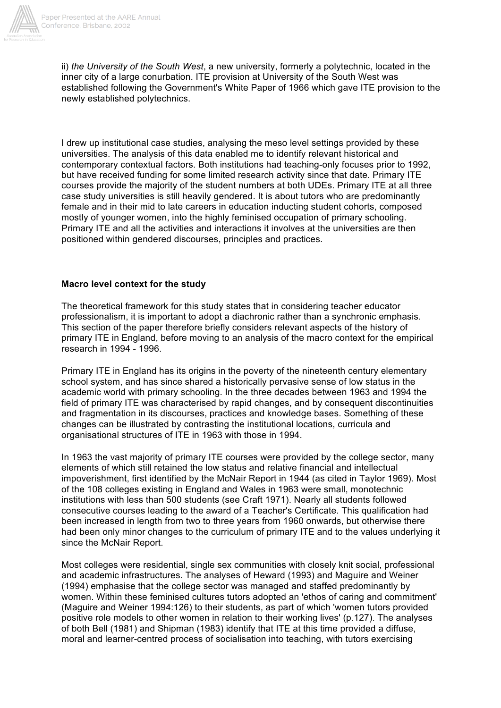

ii) *the University of the South West*, a new university, formerly a polytechnic, located in the inner city of a large conurbation. ITE provision at University of the South West was established following the Government's White Paper of 1966 which gave ITE provision to the newly established polytechnics.

I drew up institutional case studies, analysing the meso level settings provided by these universities. The analysis of this data enabled me to identify relevant historical and contemporary contextual factors. Both institutions had teaching-only focuses prior to 1992, but have received funding for some limited research activity since that date. Primary ITE courses provide the majority of the student numbers at both UDEs. Primary ITE at all three case study universities is still heavily gendered. It is about tutors who are predominantly female and in their mid to late careers in education inducting student cohorts, composed mostly of younger women, into the highly feminised occupation of primary schooling. Primary ITE and all the activities and interactions it involves at the universities are then positioned within gendered discourses, principles and practices.

## **Macro level context for the study**

The theoretical framework for this study states that in considering teacher educator professionalism, it is important to adopt a diachronic rather than a synchronic emphasis. This section of the paper therefore briefly considers relevant aspects of the history of primary ITE in England, before moving to an analysis of the macro context for the empirical research in 1994 - 1996.

Primary ITE in England has its origins in the poverty of the nineteenth century elementary school system, and has since shared a historically pervasive sense of low status in the academic world with primary schooling. In the three decades between 1963 and 1994 the field of primary ITE was characterised by rapid changes, and by consequent discontinuities and fragmentation in its discourses, practices and knowledge bases. Something of these changes can be illustrated by contrasting the institutional locations, curricula and organisational structures of ITE in 1963 with those in 1994.

In 1963 the vast majority of primary ITE courses were provided by the college sector, many elements of which still retained the low status and relative financial and intellectual impoverishment, first identified by the McNair Report in 1944 (as cited in Taylor 1969). Most of the 108 colleges existing in England and Wales in 1963 were small, monotechnic institutions with less than 500 students (see Craft 1971). Nearly all students followed consecutive courses leading to the award of a Teacher's Certificate. This qualification had been increased in length from two to three years from 1960 onwards, but otherwise there had been only minor changes to the curriculum of primary ITE and to the values underlying it since the McNair Report.

Most colleges were residential, single sex communities with closely knit social, professional and academic infrastructures. The analyses of Heward (1993) and Maguire and Weiner (1994) emphasise that the college sector was managed and staffed predominantly by women. Within these feminised cultures tutors adopted an 'ethos of caring and commitment' (Maguire and Weiner 1994:126) to their students, as part of which 'women tutors provided positive role models to other women in relation to their working lives' (p.127). The analyses of both Bell (1981) and Shipman (1983) identify that ITE at this time provided a diffuse, moral and learner-centred process of socialisation into teaching, with tutors exercising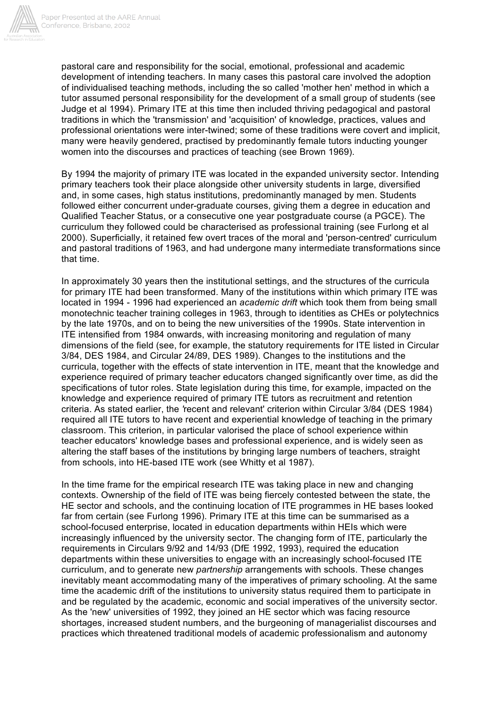

pastoral care and responsibility for the social, emotional, professional and academic development of intending teachers. In many cases this pastoral care involved the adoption of individualised teaching methods, including the so called 'mother hen' method in which a tutor assumed personal responsibility for the development of a small group of students (see Judge et al 1994). Primary ITE at this time then included thriving pedagogical and pastoral traditions in which the 'transmission' and 'acquisition' of knowledge, practices, values and professional orientations were inter-twined; some of these traditions were covert and implicit, many were heavily gendered, practised by predominantly female tutors inducting younger women into the discourses and practices of teaching (see Brown 1969).

By 1994 the majority of primary ITE was located in the expanded university sector. Intending primary teachers took their place alongside other university students in large, diversified and, in some cases, high status institutions, predominantly managed by men. Students followed either concurrent under-graduate courses, giving them a degree in education and Qualified Teacher Status, or a consecutive one year postgraduate course (a PGCE). The curriculum they followed could be characterised as professional training (see Furlong et al 2000). Superficially, it retained few overt traces of the moral and 'person-centred' curriculum and pastoral traditions of 1963, and had undergone many intermediate transformations since that time.

In approximately 30 years then the institutional settings, and the structures of the curricula for primary ITE had been transformed. Many of the institutions within which primary ITE was located in 1994 - 1996 had experienced an *academic drift* which took them from being small monotechnic teacher training colleges in 1963, through to identities as CHEs or polytechnics by the late 1970s, and on to being the new universities of the 1990s. State intervention in ITE intensified from 1984 onwards, with increasing monitoring and regulation of many dimensions of the field (see, for example, the statutory requirements for ITE listed in Circular 3/84, DES 1984, and Circular 24/89, DES 1989). Changes to the institutions and the curricula, together with the effects of state intervention in ITE, meant that the knowledge and experience required of primary teacher educators changed significantly over time, as did the specifications of tutor roles. State legislation during this time, for example, impacted on the knowledge and experience required of primary ITE tutors as recruitment and retention criteria. As stated earlier, the *'*recent and relevant' criterion within Circular 3/84 (DES 1984) required all ITE tutors to have recent and experiential knowledge of teaching in the primary classroom. This criterion, in particular valorised the place of school experience within teacher educators' knowledge bases and professional experience, and is widely seen as altering the staff bases of the institutions by bringing large numbers of teachers, straight from schools, into HE-based ITE work (see Whitty et al 1987).

In the time frame for the empirical research ITE was taking place in new and changing contexts. Ownership of the field of ITE was being fiercely contested between the state, the HE sector and schools, and the continuing location of ITE programmes in HE bases looked far from certain (see Furlong 1996). Primary ITE at this time can be summarised as a school-focused enterprise, located in education departments within HEIs which were increasingly influenced by the university sector. The changing form of ITE, particularly the requirements in Circulars 9/92 and 14/93 (DfE 1992, 1993), required the education departments within these universities to engage with an increasingly school-focused ITE curriculum, and to generate new *partnership* arrangements with schools. These changes inevitably meant accommodating many of the imperatives of primary schooling. At the same time the academic drift of the institutions to university status required them to participate in and be regulated by the academic, economic and social imperatives of the university sector. As the 'new' universities of 1992, they joined an HE sector which was facing resource shortages, increased student numbers, and the burgeoning of managerialist discourses and practices which threatened traditional models of academic professionalism and autonomy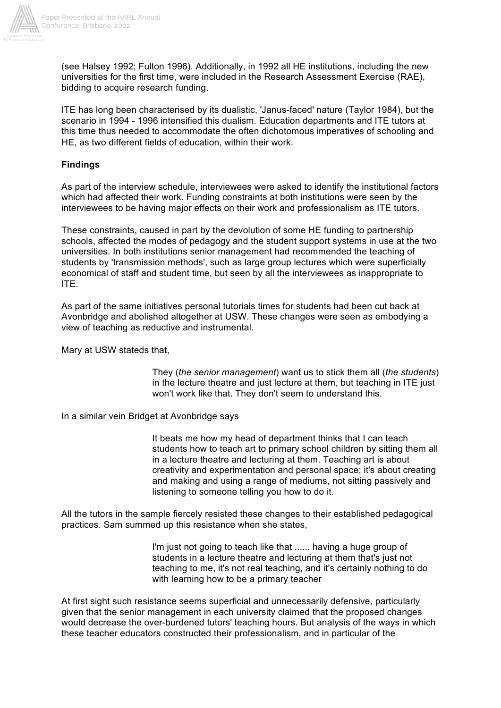

(see Halsey 1992; Fulton 1996). Additionally, in 1992 all HE institutions, including the new universities for the first time, were included in the Research Assessment Exercise (RAE), bidding to acquire research funding.

ITE has long been characterised by its dualistic, 'Janus-faced' nature (Taylor 1984), but the scenario in 1994 - 1996 intensified this dualism. Education departments and ITE tutors at this time thus needed to accommodate the often dichotomous imperatives of schooling and HE, as two different fields of education, within their work.

## **Findings**

As part of the interview schedule, interviewees were asked to identify the institutional factors which had affected their work. Funding constraints at both institutions were seen by the interviewees to be having major effects on their work and professionalism as ITE tutors.

These constraints, caused in part by the devolution of some HE funding to partnership schools, affected the modes of pedagogy and the student support systems in use at the two universities. In both institutions senior management had recommended the teaching of students by 'transmission methods', such as large group lectures which were superficially economical of staff and student time, but seen by all the interviewees as inappropriate to ITE.

As part of the same initiatives personal tutorials times for students had been cut back at Avonbridge and abolished altogether at USW. These changes were seen as embodying a view of teaching as reductive and instrumental.

Mary at USW stateds that,

They (*the senior management*) want us to stick them all (*the students*) in the lecture theatre and just lecture at them, but teaching in ITE just won't work like that. They don't seem to understand this.

In a similar vein Bridget at Avonbridge says

It beats me how my head of department thinks that I can teach students how to teach art to primary school children by sitting them all in a lecture theatre and lecturing at them. Teaching art is about creativity and experimentation and personal space; it's about creating and making and using a range of mediums, not sitting passively and listening to someone telling you how to do it.

All the tutors in the sample fiercely resisted these changes to their established pedagogical practices. Sam summed up this resistance when she states,

> I'm just not going to teach like that ...... having a huge group of students in a lecture theatre and lecturing at them that's just not teaching to me, it's not real teaching, and it's certainly nothing to do with learning how to be a primary teacher

At first sight such resistance seems superficial and unnecessarily defensive, particularly given that the senior management in each university claimed that the proposed changes would decrease the over-burdened tutors' teaching hours. But analysis of the ways in which these teacher educators constructed their professionalism, and in particular of the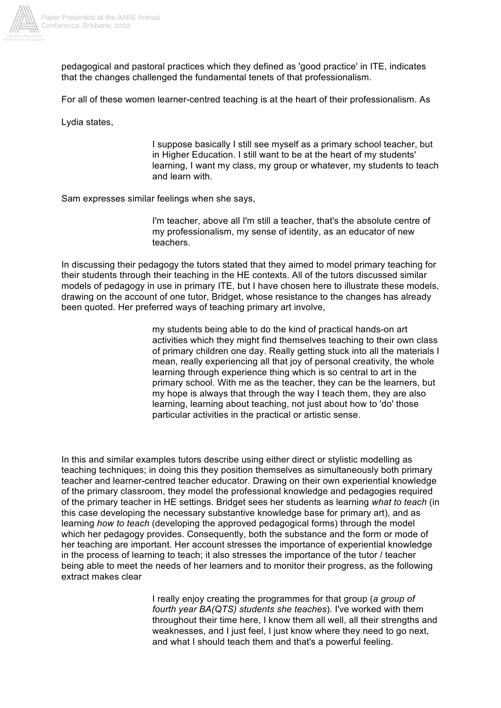

pedagogical and pastoral practices which they defined as 'good practice' in ITE, indicates that the changes challenged the fundamental tenets of that professionalism.

For all of these women learner-centred teaching is at the heart of their professionalism. As

Lydia states,

I suppose basically I still see myself as a primary school teacher, but in Higher Education. I still want to be at the heart of my students' learning, I want my class, my group or whatever, my students to teach and learn with.

Sam expresses similar feelings when she says,

I'm teacher, above all I'm still a teacher, that's the absolute centre of my professionalism, my sense of identity, as an educator of new teachers.

In discussing their pedagogy the tutors stated that they aimed to model primary teaching for their students through their teaching in the HE contexts. All of the tutors discussed similar models of pedagogy in use in primary ITE, but I have chosen here to illustrate these models, drawing on the account of one tutor, Bridget, whose resistance to the changes has already been quoted. Her preferred ways of teaching primary art involve,

> my students being able to do the kind of practical hands-on art activities which they might find themselves teaching to their own class of primary children one day. Really getting stuck into all the materials I mean, really experiencing all that joy of personal creativity, the whole learning through experience thing which is so central to art in the primary school. With me as the teacher, they can be the learners, but my hope is always that through the way I teach them, they are also learning, learning about teaching, not just about how to 'do' those particular activities in the practical or artistic sense.

In this and similar examples tutors describe using either direct or stylistic modelling as teaching techniques; in doing this they position themselves as simultaneously both primary teacher and learner-centred teacher educator. Drawing on their own experiential knowledge of the primary classroom, they model the professional knowledge and pedagogies required of the primary teacher in HE settings. Bridget sees her students as learning *what to teach* (in this case developing the necessary substantive knowledge base for primary art), and as learning *how to teach* (developing the approved pedagogical forms) through the model which her pedagogy provides. Consequently, both the substance and the form or mode of her teaching are important. Her account stresses the importance of experiential knowledge in the process of learning to teach; it also stresses the importance of the tutor / teacher being able to meet the needs of her learners and to monitor their progress, as the following extract makes clear

> I really enjoy creating the programmes for that group (*a group of fourth year BA(QTS) students she teaches*). I've worked with them throughout their time here, I know them all well, all their strengths and weaknesses, and I just feel, I just know where they need to go next, and what I should teach them and that's a powerful feeling.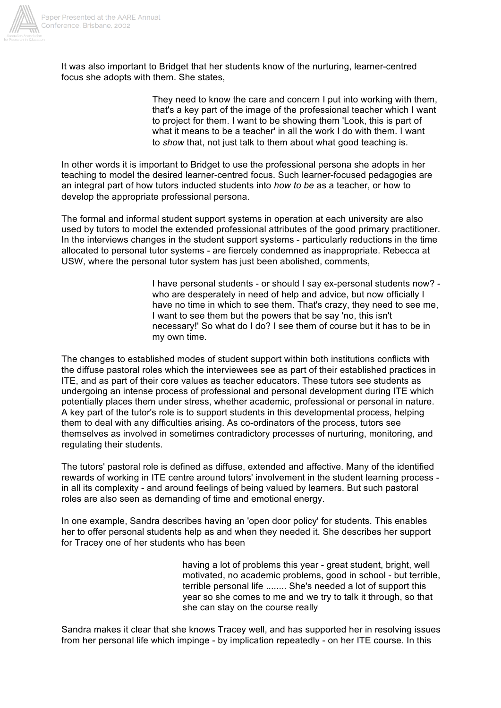

It was also important to Bridget that her students know of the nurturing, learner-centred focus she adopts with them. She states,

> They need to know the care and concern I put into working with them, that's a key part of the image of the professional teacher which I want to project for them. I want to be showing them 'Look, this is part of what it means to be a teacher' in all the work I do with them. I want to *show* that, not just talk to them about what good teaching is.

In other words it is important to Bridget to use the professional persona she adopts in her teaching to model the desired learner-centred focus. Such learner-focused pedagogies are an integral part of how tutors inducted students into *how to be* as a teacher, or how to develop the appropriate professional persona.

The formal and informal student support systems in operation at each university are also used by tutors to model the extended professional attributes of the good primary practitioner. In the interviews changes in the student support systems - particularly reductions in the time allocated to personal tutor systems - are fiercely condemned as inappropriate. Rebecca at USW, where the personal tutor system has just been abolished, comments,

> I have personal students - or should I say ex-personal students now? who are desperately in need of help and advice, but now officially I have no time in which to see them. That's crazy, they need to see me, I want to see them but the powers that be say 'no, this isn't necessary!' So what do I do? I see them of course but it has to be in my own time.

The changes to established modes of student support within both institutions conflicts with the diffuse pastoral roles which the interviewees see as part of their established practices in ITE, and as part of their core values as teacher educators. These tutors see students as undergoing an intense process of professional and personal development during ITE which potentially places them under stress, whether academic, professional or personal in nature. A key part of the tutor's role is to support students in this developmental process, helping them to deal with any difficulties arising. As co-ordinators of the process, tutors see themselves as involved in sometimes contradictory processes of nurturing, monitoring, and regulating their students.

The tutors' pastoral role is defined as diffuse, extended and affective. Many of the identified rewards of working in ITE centre around tutors' involvement in the student learning process in all its complexity - and around feelings of being valued by learners. But such pastoral roles are also seen as demanding of time and emotional energy.

In one example, Sandra describes having an 'open door policy' for students. This enables her to offer personal students help as and when they needed it. She describes her support for Tracey one of her students who has been

> having a lot of problems this year - great student, bright, well motivated, no academic problems, good in school - but terrible, terrible personal life ........ She's needed a lot of support this year so she comes to me and we try to talk it through, so that she can stay on the course really

Sandra makes it clear that she knows Tracey well, and has supported her in resolving issues from her personal life which impinge - by implication repeatedly - on her ITE course. In this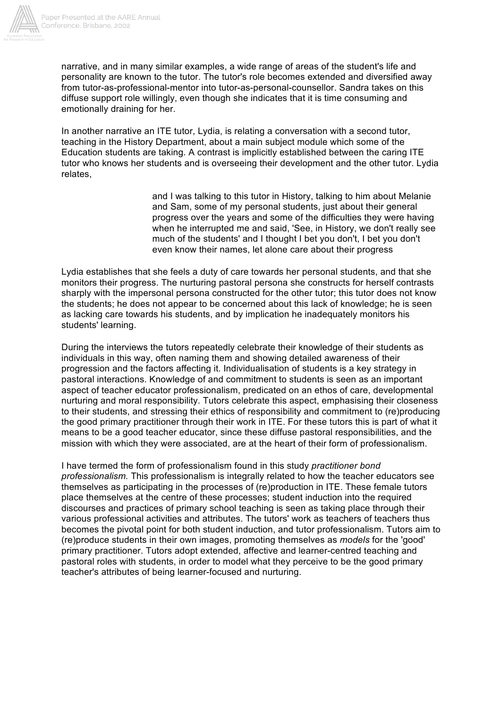

narrative, and in many similar examples, a wide range of areas of the student's life and personality are known to the tutor. The tutor's role becomes extended and diversified away from tutor-as-professional-mentor into tutor-as-personal-counsellor. Sandra takes on this diffuse support role willingly, even though she indicates that it is time consuming and emotionally draining for her.

In another narrative an ITE tutor, Lydia, is relating a conversation with a second tutor, teaching in the History Department, about a main subject module which some of the Education students are taking. A contrast is implicitly established between the caring ITE tutor who knows her students and is overseeing their development and the other tutor. Lydia relates,

> and I was talking to this tutor in History, talking to him about Melanie and Sam, some of my personal students, just about their general progress over the years and some of the difficulties they were having when he interrupted me and said, 'See, in History, we don't really see much of the students' and I thought I bet you don't, I bet you don't even know their names, let alone care about their progress

Lydia establishes that she feels a duty of care towards her personal students, and that she monitors their progress. The nurturing pastoral persona she constructs for herself contrasts sharply with the impersonal persona constructed for the other tutor; this tutor does not know the students; he does not appear to be concerned about this lack of knowledge; he is seen as lacking care towards his students, and by implication he inadequately monitors his students' learning.

During the interviews the tutors repeatedly celebrate their knowledge of their students as individuals in this way, often naming them and showing detailed awareness of their progression and the factors affecting it. Individualisation of students is a key strategy in pastoral interactions. Knowledge of and commitment to students is seen as an important aspect of teacher educator professionalism, predicated on an ethos of care, developmental nurturing and moral responsibility. Tutors celebrate this aspect, emphasising their closeness to their students, and stressing their ethics of responsibility and commitment to (re)producing the good primary practitioner through their work in ITE. For these tutors this is part of what it means to be a good teacher educator, since these diffuse pastoral responsibilities, and the mission with which they were associated, are at the heart of their form of professionalism.

I have termed the form of professionalism found in this study *practitioner bond professionalism.* This professionalism is integrally related to how the teacher educators see themselves as participating in the processes of (re)production in ITE. These female tutors place themselves at the centre of these processes; student induction into the required discourses and practices of primary school teaching is seen as taking place through their various professional activities and attributes. The tutors' work as teachers of teachers thus becomes the pivotal point for both student induction, and tutor professionalism. Tutors aim to (re)produce students in their own images, promoting themselves as *models* for the 'good' primary practitioner. Tutors adopt extended, affective and learner-centred teaching and pastoral roles with students, in order to model what they perceive to be the good primary teacher's attributes of being learner-focused and nurturing.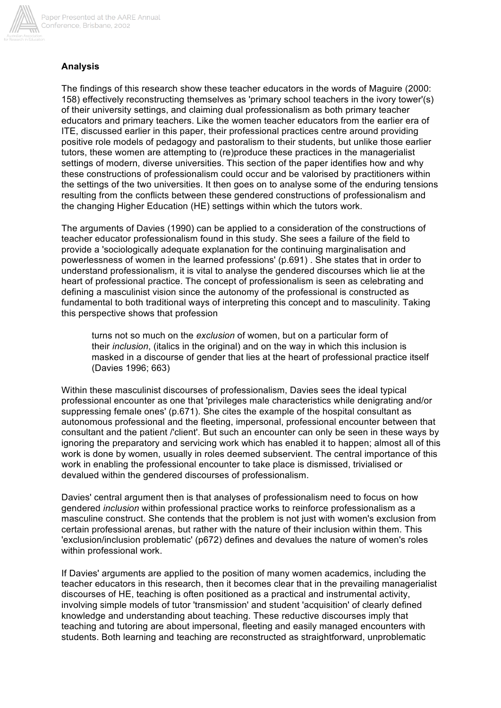

## **Analysis**

The findings of this research show these teacher educators in the words of Maguire (2000: 158) effectively reconstructing themselves as 'primary school teachers in the ivory tower'(s) of their university settings, and claiming dual professionalism as both primary teacher educators and primary teachers. Like the women teacher educators from the earlier era of ITE, discussed earlier in this paper, their professional practices centre around providing positive role models of pedagogy and pastoralism to their students, but unlike those earlier tutors, these women are attempting to (re)produce these practices in the managerialist settings of modern, diverse universities. This section of the paper identifies how and why these constructions of professionalism could occur and be valorised by practitioners within the settings of the two universities. It then goes on to analyse some of the enduring tensions resulting from the conflicts between these gendered constructions of professionalism and the changing Higher Education (HE) settings within which the tutors work.

The arguments of Davies (1990) can be applied to a consideration of the constructions of teacher educator professionalism found in this study. She sees a failure of the field to provide a 'sociologically adequate explanation for the continuing marginalisation and powerlessness of women in the learned professions' (p.691) . She states that in order to understand professionalism, it is vital to analyse the gendered discourses which lie at the heart of professional practice. The concept of professionalism is seen as celebrating and defining a masculinist vision since the autonomy of the professional is constructed as fundamental to both traditional ways of interpreting this concept and to masculinity. Taking this perspective shows that profession

turns not so much on the *exclusion* of women, but on a particular form of their *inclusion*, (italics in the original) and on the way in which this inclusion is masked in a discourse of gender that lies at the heart of professional practice itself (Davies 1996; 663)

Within these masculinist discourses of professionalism, Davies sees the ideal typical professional encounter as one that 'privileges male characteristics while denigrating and/or suppressing female ones' (p.671). She cites the example of the hospital consultant as autonomous professional and the fleeting, impersonal, professional encounter between that consultant and the patient /'client'. But such an encounter can only be seen in these ways by ignoring the preparatory and servicing work which has enabled it to happen; almost all of this work is done by women, usually in roles deemed subservient. The central importance of this work in enabling the professional encounter to take place is dismissed, trivialised or devalued within the gendered discourses of professionalism.

Davies' central argument then is that analyses of professionalism need to focus on how gendered *inclusion* within professional practice works to reinforce professionalism as a masculine construct. She contends that the problem is not just with women's exclusion from certain professional arenas, but rather with the nature of their inclusion within them. This 'exclusion/inclusion problematic' (p672) defines and devalues the nature of women's roles within professional work.

If Davies' arguments are applied to the position of many women academics, including the teacher educators in this research, then it becomes clear that in the prevailing managerialist discourses of HE, teaching is often positioned as a practical and instrumental activity, involving simple models of tutor 'transmission' and student 'acquisition' of clearly defined knowledge and understanding about teaching. These reductive discourses imply that teaching and tutoring are about impersonal, fleeting and easily managed encounters with students. Both learning and teaching are reconstructed as straightforward, unproblematic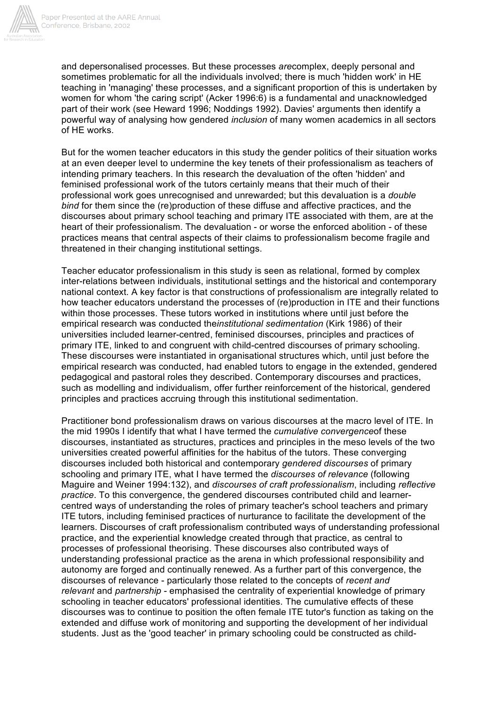

and depersonalised processes. But these processes *are*complex, deeply personal and sometimes problematic for all the individuals involved; there is much 'hidden work' in HE teaching in 'managing' these processes, and a significant proportion of this is undertaken by women for whom 'the caring script' (Acker 1996:6) is a fundamental and unacknowledged part of their work (see Heward 1996; Noddings 1992). Davies' arguments then identify a powerful way of analysing how gendered *inclusion* of many women academics in all sectors of HE works.

But for the women teacher educators in this study the gender politics of their situation works at an even deeper level to undermine the key tenets of their professionalism as teachers of intending primary teachers. In this research the devaluation of the often 'hidden' and feminised professional work of the tutors certainly means that their much of their professional work goes unrecognised and unrewarded; but this devaluation is a *double bind* for them since the (re)production of these diffuse and affective practices, and the discourses about primary school teaching and primary ITE associated with them, are at the heart of their professionalism. The devaluation - or worse the enforced abolition - of these practices means that central aspects of their claims to professionalism become fragile and threatened in their changing institutional settings.

Teacher educator professionalism in this study is seen as relational, formed by complex inter-relations between individuals, institutional settings and the historical and contemporary national context. A key factor is that constructions of professionalism are integrally related to how teacher educators understand the processes of (re)production in ITE and their functions within those processes. These tutors worked in institutions where until just before the empirical research was conducted the*institutional sedimentation* (Kirk 1986) of their universities included learner-centred, feminised discourses, principles and practices of primary ITE, linked to and congruent with child-centred discourses of primary schooling. These discourses were instantiated in organisational structures which, until just before the empirical research was conducted, had enabled tutors to engage in the extended, gendered pedagogical and pastoral roles they described. Contemporary discourses and practices, such as modelling and individualism, offer further reinforcement of the historical, gendered principles and practices accruing through this institutional sedimentation.

Practitioner bond professionalism draws on various discourses at the macro level of ITE. In the mid 1990s I identify that what I have termed the *cumulative convergence*of these discourses, instantiated as structures, practices and principles in the meso levels of the two universities created powerful affinities for the habitus of the tutors. These converging discourses included both historical and contemporary *gendered discourses* of primary schooling and primary ITE, what I have termed the *discourses of relevance* (following Maguire and Weiner 1994:132), and *discourses of craft professionalism*, including *reflective practice*. To this convergence, the gendered discourses contributed child and learnercentred ways of understanding the roles of primary teacher's school teachers and primary ITE tutors, including feminised practices of nurturance to facilitate the development of the learners. Discourses of craft professionalism contributed ways of understanding professional practice, and the experiential knowledge created through that practice, as central to processes of professional theorising. These discourses also contributed ways of understanding professional practice as the arena in which professional responsibility and autonomy are forged and continually renewed. As a further part of this convergence, the discourses of relevance - particularly those related to the concepts of *recent and relevant* and *partnership* - emphasised the centrality of experiential knowledge of primary schooling in teacher educators' professional identities. The cumulative effects of these discourses was to continue to position the often female ITE tutor's function as taking on the extended and diffuse work of monitoring and supporting the development of her individual students. Just as the 'good teacher' in primary schooling could be constructed as child-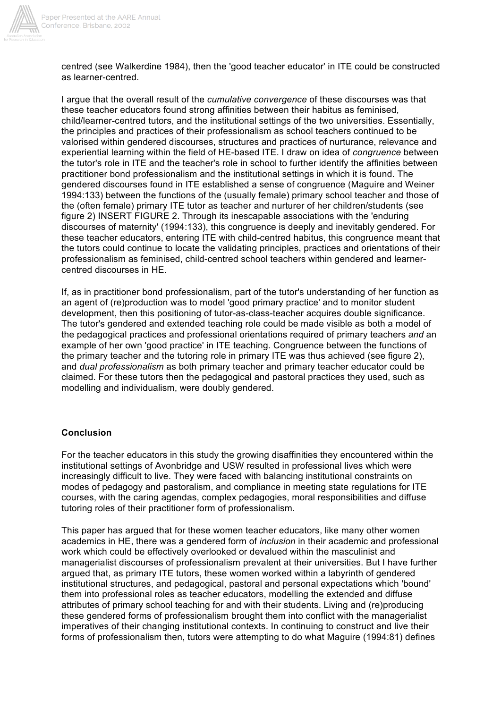

centred (see Walkerdine 1984), then the 'good teacher educator' in ITE could be constructed as learner-centred.

I argue that the overall result of the *cumulative convergence* of these discourses was that these teacher educators found strong affinities between their habitus as feminised, child/learner-centred tutors, and the institutional settings of the two universities. Essentially, the principles and practices of their professionalism as school teachers continued to be valorised within gendered discourses, structures and practices of nurturance, relevance and experiential learning within the field of HE-based ITE. I draw on idea of *congruence* between the tutor's role in ITE and the teacher's role in school to further identify the affinities between practitioner bond professionalism and the institutional settings in which it is found. The gendered discourses found in ITE established a sense of congruence (Maguire and Weiner 1994:133) between the functions of the (usually female) primary school teacher and those of the (often female) primary ITE tutor as teacher and nurturer of her children/students (see figure 2) INSERT FIGURE 2. Through its inescapable associations with the 'enduring discourses of maternity' (1994:133), this congruence is deeply and inevitably gendered. For these teacher educators, entering ITE with child-centred habitus, this congruence meant that the tutors could continue to locate the validating principles, practices and orientations of their professionalism as feminised, child-centred school teachers within gendered and learnercentred discourses in HE.

If, as in practitioner bond professionalism, part of the tutor's understanding of her function as an agent of (re)production was to model 'good primary practice' and to monitor student development, then this positioning of tutor-as-class-teacher acquires double significance. The tutor's gendered and extended teaching role could be made visible as both a model of the pedagogical practices and professional orientations required of primary teachers *and* an example of her own 'good practice' in ITE teaching. Congruence between the functions of the primary teacher and the tutoring role in primary ITE was thus achieved (see figure 2), and *dual professionalism* as both primary teacher and primary teacher educator could be claimed. For these tutors then the pedagogical and pastoral practices they used, such as modelling and individualism, were doubly gendered.

## **Conclusion**

For the teacher educators in this study the growing disaffinities they encountered within the institutional settings of Avonbridge and USW resulted in professional lives which were increasingly difficult to live. They were faced with balancing institutional constraints on modes of pedagogy and pastoralism, and compliance in meeting state regulations for ITE courses, with the caring agendas, complex pedagogies, moral responsibilities and diffuse tutoring roles of their practitioner form of professionalism.

This paper has argued that for these women teacher educators, like many other women academics in HE, there was a gendered form of *inclusion* in their academic and professional work which could be effectively overlooked or devalued within the masculinist and managerialist discourses of professionalism prevalent at their universities. But I have further argued that, as primary ITE tutors, these women worked within a labyrinth of gendered institutional structures, and pedagogical, pastoral and personal expectations which 'bound' them into professional roles as teacher educators, modelling the extended and diffuse attributes of primary school teaching for and with their students. Living and (re)producing these gendered forms of professionalism brought them into conflict with the managerialist imperatives of their changing institutional contexts. In continuing to construct and live their forms of professionalism then, tutors were attempting to do what Maguire (1994:81) defines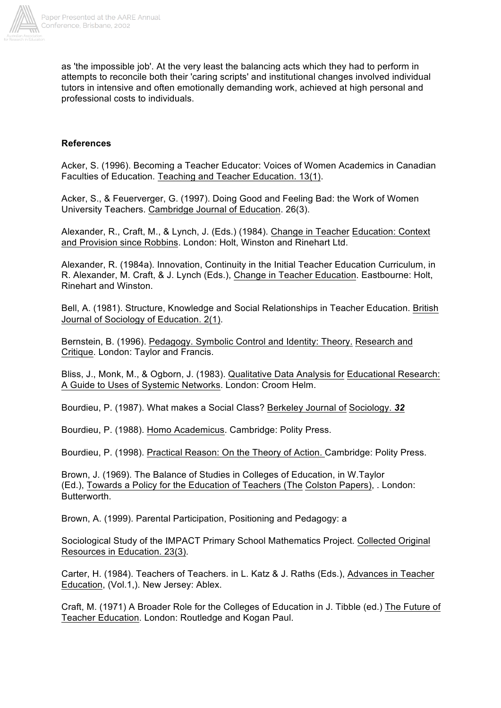

as 'the impossible job'. At the very least the balancing acts which they had to perform in attempts to reconcile both their 'caring scripts' and institutional changes involved individual tutors in intensive and often emotionally demanding work, achieved at high personal and professional costs to individuals.

## **References**

Acker, S. (1996). Becoming a Teacher Educator: Voices of Women Academics in Canadian Faculties of Education. Teaching and Teacher Education. 13(1).

Acker, S., & Feuerverger, G. (1997). Doing Good and Feeling Bad: the Work of Women University Teachers. Cambridge Journal of Education. 26(3).

Alexander, R., Craft, M., & Lynch, J. (Eds.) (1984). Change in Teacher Education: Context and Provision since Robbins. London: Holt, Winston and Rinehart Ltd.

Alexander, R. (1984a). Innovation, Continuity in the Initial Teacher Education Curriculum, in R. Alexander, M. Craft, & J. Lynch (Eds.), Change in Teacher Education. Eastbourne: Holt, Rinehart and Winston.

Bell, A. (1981). Structure, Knowledge and Social Relationships in Teacher Education. British Journal of Sociology of Education. 2(1).

Bernstein, B. (1996). Pedagogy. Symbolic Control and Identity: Theory. Research and Critique. London: Taylor and Francis.

Bliss, J., Monk, M., & Ogborn, J. (1983). Qualitative Data Analysis for Educational Research: A Guide to Uses of Systemic Networks. London: Croom Helm.

Bourdieu, P. (1987). What makes a Social Class? Berkeley Journal of Sociology. *32*

Bourdieu, P. (1988). Homo Academicus. Cambridge: Polity Press.

Bourdieu, P. (1998). Practical Reason: On the Theory of Action. Cambridge: Polity Press.

Brown, J. (1969). The Balance of Studies in Colleges of Education, in W.Taylor (Ed.), Towards a Policy for the Education of Teachers (The Colston Papers), . London: Butterworth.

Brown, A. (1999). Parental Participation, Positioning and Pedagogy: a

Sociological Study of the IMPACT Primary School Mathematics Project. Collected Original Resources in Education. 23(3).

Carter, H. (1984). Teachers of Teachers. in L. Katz & J. Raths (Eds.), Advances in Teacher Education, (Vol.1,). New Jersey: Ablex.

Craft, M. (1971) A Broader Role for the Colleges of Education in J. Tibble (ed.) The Future of Teacher Education. London: Routledge and Kogan Paul.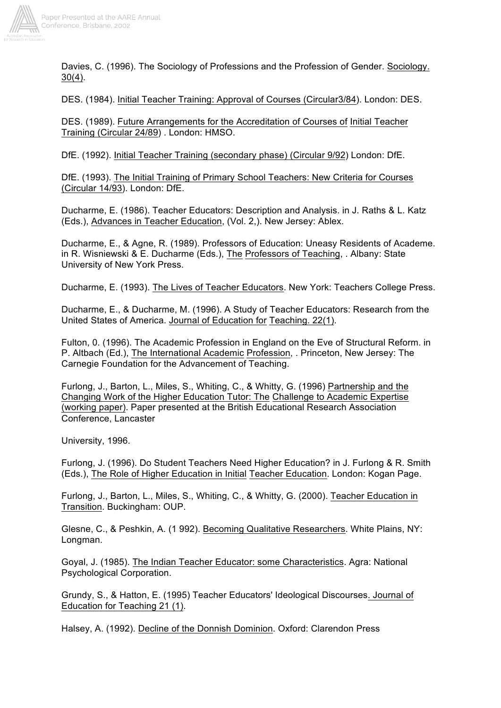

Davies, C. (1996). The Sociology of Professions and the Profession of Gender. Sociology. 30(4).

DES. (1984). Initial Teacher Training: Approval of Courses (Circular3/84). London: DES.

DES. (1989). Future Arrangements for the Accreditation of Courses of Initial Teacher Training (Circular 24/89) . London: HMSO.

DfE. (1992). Initial Teacher Training (secondary phase) (Circular 9/92) London: DfE.

DfE. (1993). The Initial Training of Primary School Teachers: New Criteria for Courses (Circular 14/93). London: DfE.

Ducharme, E. (1986). Teacher Educators: Description and Analysis. in J. Raths & L. Katz (Eds.), Advances in Teacher Education, (Vol. 2,). New Jersey: Ablex.

Ducharme, E., & Agne, R. (1989). Professors of Education: Uneasy Residents of Academe. in R. Wisniewski & E. Ducharme (Eds.), The Professors of Teaching, . Albany: State University of New York Press.

Ducharme, E. (1993). The Lives of Teacher Educators. New York: Teachers College Press.

Ducharme, E., & Ducharme, M. (1996). A Study of Teacher Educators: Research from the United States of America. Journal of Education for Teaching. 22(1).

Fulton, 0. (1996). The Academic Profession in England on the Eve of Structural Reform. in P. Altbach (Ed.), The International Academic Profession, . Princeton, New Jersey: The Carnegie Foundation for the Advancement of Teaching.

Furlong, J., Barton, L., Miles, S., Whiting, C., & Whitty, G. (1996) Partnership and the Changing Work of the Higher Education Tutor: The Challenge to Academic Expertise (working paper). Paper presented at the British Educational Research Association Conference, Lancaster

University, 1996.

Furlong, J. (1996). Do Student Teachers Need Higher Education? in J. Furlong & R. Smith (Eds.), The Role of Higher Education in Initial Teacher Education. London: Kogan Page.

Furlong, J., Barton, L., Miles, S., Whiting, C., & Whitty, G. (2000). Teacher Education in Transition. Buckingham: OUP.

Glesne, C., & Peshkin, A. (1 992). Becoming Qualitative Researchers. White Plains, NY: Longman.

Goyal, J. (1985). The Indian Teacher Educator: some Characteristics. Agra: National Psychological Corporation.

Grundy, S., & Hatton, E. (1995) Teacher Educators' Ideological Discourses. Journal of Education for Teaching 21 (1).

Halsey, A. (1992). Decline of the Donnish Dominion. Oxford: Clarendon Press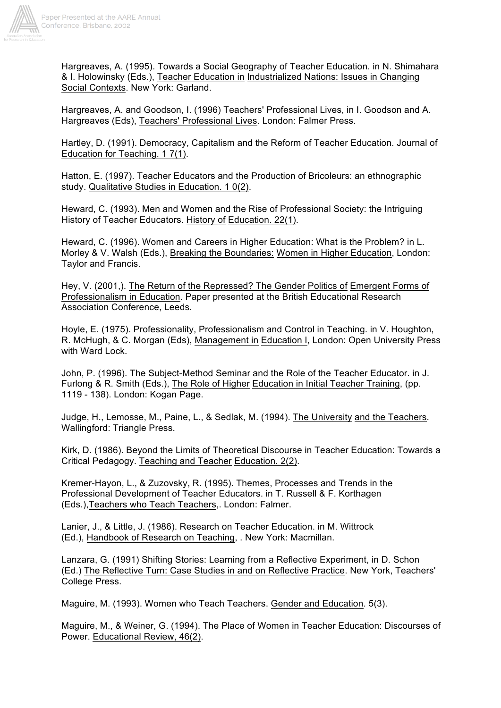

Hargreaves, A. (1995). Towards a Social Geography of Teacher Education. in N. Shimahara & I. Holowinsky (Eds.), Teacher Education in Industrialized Nations: Issues in Changing Social Contexts. New York: Garland.

Hargreaves, A. and Goodson, I. (1996) Teachers' Professional Lives, in I. Goodson and A. Hargreaves (Eds), Teachers' Professional Lives. London: Falmer Press.

Hartley, D. (1991). Democracy, Capitalism and the Reform of Teacher Education. Journal of Education for Teaching. 1 7(1).

Hatton, E. (1997). Teacher Educators and the Production of Bricoleurs: an ethnographic study. Qualitative Studies in Education. 1 0(2).

Heward, C. (1993). Men and Women and the Rise of Professional Society: the Intriguing History of Teacher Educators. History of Education. 22(1).

Heward, C. (1996). Women and Careers in Higher Education: What is the Problem? in L. Morley & V. Walsh (Eds.), Breaking the Boundaries: Women in Higher Education, London: Taylor and Francis.

Hey, V. (2001,). The Return of the Repressed? The Gender Politics of Emergent Forms of Professionalism in Education. Paper presented at the British Educational Research Association Conference, Leeds.

Hoyle, E. (1975). Professionality, Professionalism and Control in Teaching. in V. Houghton, R. McHugh, & C. Morgan (Eds), Management in Education I, London: Open University Press with Ward Lock.

John, P. (1996). The Subject-Method Seminar and the Role of the Teacher Educator. in J. Furlong & R. Smith (Eds.), The Role of Higher Education in Initial Teacher Training, (pp. 1119 - 138). London: Kogan Page.

Judge, H., Lemosse, M., Paine, L., & Sedlak, M. (1994). The University and the Teachers. Wallingford: Triangle Press.

Kirk, D. (1986). Beyond the Limits of Theoretical Discourse in Teacher Education: Towards a Critical Pedagogy. Teaching and Teacher Education. 2(2).

Kremer-Hayon, L., & Zuzovsky, R. (1995). Themes, Processes and Trends in the Professional Development of Teacher Educators. in T. Russell & F. Korthagen (Eds.),Teachers who Teach Teachers,. London: Falmer.

Lanier, J., & Little, J. (1986). Research on Teacher Education. in M. Wittrock (Ed.), Handbook of Research on Teaching, . New York: Macmillan.

Lanzara, G. (1991) Shifting Stories: Learning from a Reflective Experiment, in D. Schon (Ed.) The Reflective Turn: Case Studies in and on Reflective Practice. New York, Teachers' College Press.

Maguire, M. (1993). Women who Teach Teachers. Gender and Education. 5(3).

Maguire, M., & Weiner, G. (1994). The Place of Women in Teacher Education: Discourses of Power. Educational Review, 46(2).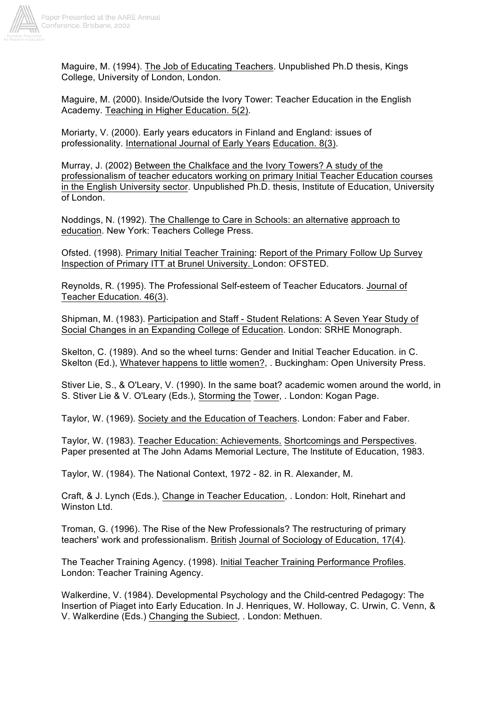

Maguire, M. (1994). The Job of Educating Teachers. Unpublished Ph.D thesis, Kings College, University of London, London.

Maguire, M. (2000). Inside/Outside the Ivory Tower: Teacher Education in the English Academy. Teaching in Higher Education. 5(2).

Moriarty, V. (2000). Early years educators in Finland and England: issues of professionality. International Journal of Early Years Education. 8(3).

Murray, J. (2002) Between the Chalkface and the Ivory Towers? A study of the professionalism of teacher educators working on primary Initial Teacher Education courses in the English University sector. Unpublished Ph.D. thesis, Institute of Education, University of London.

Noddings, N. (1992). The Challenge to Care in Schools: an alternative approach to education. New York: Teachers College Press.

Ofsted. (1998). Primary Initial Teacher Training: Report of the Primary Follow Up Survey Inspection of Primary ITT at Brunel University. London: OFSTED.

Reynolds, R. (1995). The Professional Self-esteem of Teacher Educators. Journal of Teacher Education. 46(3).

Shipman, M. (1983). Participation and Staff - Student Relations: A Seven Year Study of Social Changes in an Expanding College of Education. London: SRHE Monograph.

Skelton, C. (1989). And so the wheel turns: Gender and Initial Teacher Education. in C. Skelton (Ed.), Whatever happens to little women?, . Buckingham: Open University Press.

Stiver Lie, S., & O'Leary, V. (1990). In the same boat? academic women around the world, in S. Stiver Lie & V. O'Leary (Eds.), Storming the Tower, . London: Kogan Page.

Taylor, W. (1969). Society and the Education of Teachers. London: Faber and Faber.

Taylor, W. (1983). Teacher Education: Achievements. Shortcomings and Perspectives. Paper presented at The John Adams Memorial Lecture, The lnstitute of Education, 1983.

Taylor, W. (1984). The National Context, 1972 - 82. in R. Alexander, M.

Craft, & J. Lynch (Eds.), Change in Teacher Education, . London: Holt, Rinehart and Winston Ltd.

Troman, G. (1996). The Rise of the New Professionals? The restructuring of primary teachers' work and professionalism. British Journal of Sociology of Education, 17(4).

The Teacher Training Agency. (1998). Initial Teacher Training Performance Profiles. London: Teacher Training Agency.

Walkerdine, V. (1984). Developmental Psychology and the Child-centred Pedagogy: The Insertion of Piaget into Early Education. In J. Henriques, W. Holloway, C. Urwin, C. Venn, & V. Walkerdine (Eds.) Changing the Subiect, . London: Methuen.